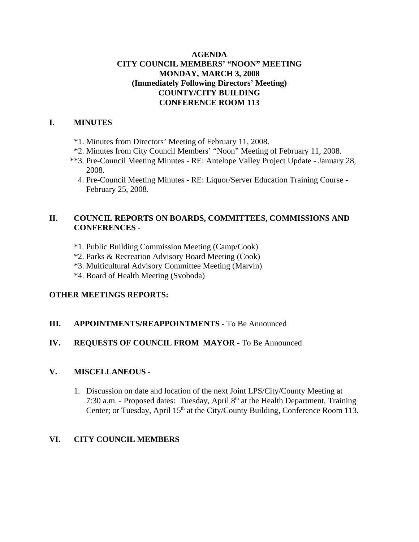## **AGENDA CITY COUNCIL MEMBERS' "NOON" MEETING MONDAY, MARCH 3, 2008 (Immediately Following Directors' Meeting) COUNTY/CITY BUILDING CONFERENCE ROOM 113**

#### **I. MINUTES**

- \*1. Minutes from Directors' Meeting of February 11, 2008.
- \*2. Minutes from City Council Members' "Noon" Meeting of February 11, 2008.
- \*\*3. Pre-Council Meeting Minutes RE: Antelope Valley Project Update January 28, 2008.
	- 4. Pre-Council Meeting Minutes RE: Liquor/Server Education Training Course February 25, 2008.

## **II. COUNCIL REPORTS ON BOARDS, COMMITTEES, COMMISSIONS AND CONFERENCES** -

- \*1. Public Building Commission Meeting (Camp/Cook)
- \*2. Parks & Recreation Advisory Board Meeting (Cook)
- \*3. Multicultural Advisory Committee Meeting (Marvin)
- \*4. Board of Health Meeting (Svoboda)

## **OTHER MEETINGS REPORTS:**

## **III.** APPOINTMENTS/REAPPOINTMENTS - To Be Announced

# **IV. REQUESTS OF COUNCIL FROM MAYOR -** To Be Announced

## **V. MISCELLANEOUS -**

1. Discussion on date and location of the next Joint LPS/City/County Meeting at 7:30 a.m. - Proposed dates: Tuesday, April 8<sup>th</sup> at the Health Department, Training Center; or Tuesday, April 15<sup>th</sup> at the City/County Building, Conference Room 113.

## **VI. CITY COUNCIL MEMBERS**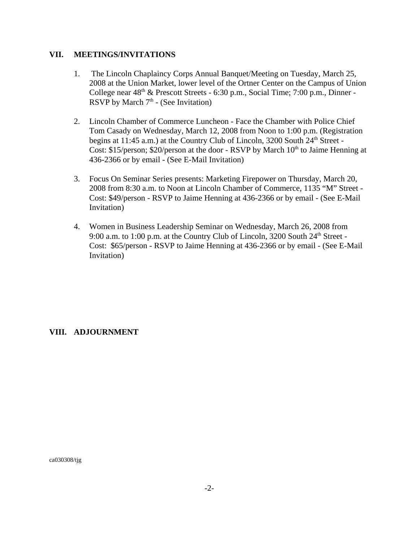#### **VII. MEETINGS/INVITATIONS**

- 1. The Lincoln Chaplaincy Corps Annual Banquet/Meeting on Tuesday, March 25, 2008 at the Union Market, lower level of the Ortner Center on the Campus of Union College near  $48<sup>th</sup>$  & Prescott Streets - 6:30 p.m., Social Time; 7:00 p.m., Dinner -RSVP by March  $7<sup>th</sup>$  - (See Invitation)
- 2. Lincoln Chamber of Commerce Luncheon Face the Chamber with Police Chief Tom Casady on Wednesday, March 12, 2008 from Noon to 1:00 p.m. (Registration begins at 11:45 a.m.) at the Country Club of Lincoln, 3200 South  $24<sup>th</sup>$  Street -Cost: \$15/person; \$20/person at the door - RSVP by March  $10<sup>th</sup>$  to Jaime Henning at 436-2366 or by email - (See E-Mail Invitation)
- 3. Focus On Seminar Series presents: Marketing Firepower on Thursday, March 20, 2008 from 8:30 a.m. to Noon at Lincoln Chamber of Commerce, 1135 "M" Street - Cost: \$49/person - RSVP to Jaime Henning at 436-2366 or by email - (See E-Mail Invitation)
- 4. Women in Business Leadership Seminar on Wednesday, March 26, 2008 from 9:00 a.m. to 1:00 p.m. at the Country Club of Lincoln, 3200 South 24<sup>th</sup> Street -Cost: \$65/person - RSVP to Jaime Henning at 436-2366 or by email - (See E-Mail Invitation)

## **VIII. ADJOURNMENT**

ca030308/tjg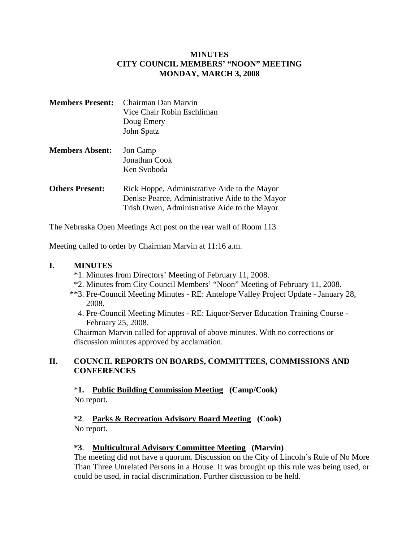## **MINUTES CITY COUNCIL MEMBERS' "NOON" MEETING MONDAY, MARCH 3, 2008**

| <b>Members Present:</b> Chairman Dan Marvin |
|---------------------------------------------|
| Vice Chair Robin Eschliman                  |
| Doug Emery                                  |
| John Spatz                                  |

# **Members Absent:** Jon Camp Jonathan Cook Ken Svoboda

**Others Present:** Rick Hoppe, Administrative Aide to the Mayor Denise Pearce, Administrative Aide to the Mayor Trish Owen, Administrative Aide to the Mayor

The Nebraska Open Meetings Act post on the rear wall of Room 113

Meeting called to order by Chairman Marvin at 11:16 a.m.

## **I. MINUTES**

- \*1. Minutes from Directors' Meeting of February 11, 2008.
- \*2. Minutes from City Council Members' "Noon" Meeting of February 11, 2008.
- \*\*3. Pre-Council Meeting Minutes RE: Antelope Valley Project Update January 28, 2008.
	- 4. Pre-Council Meeting Minutes RE: Liquor/Server Education Training Course February 25, 2008.

Chairman Marvin called for approval of above minutes. With no corrections or discussion minutes approved by acclamation.

## **II. COUNCIL REPORTS ON BOARDS, COMMITTEES, COMMISSIONS AND CONFERENCES**

\***1. Public Building Commission Meeting (Camp/Cook)** No report.

#### **\*2**. **Parks & Recreation Advisory Board Meeting (Cook)** No report.

## **\*3**. **Multicultural Advisory Committee Meeting (Marvin)**

The meeting did not have a quorum. Discussion on the City of Lincoln's Rule of No More Than Three Unrelated Persons in a House. It was brought up this rule was being used, or could be used, in racial discrimination. Further discussion to be held.